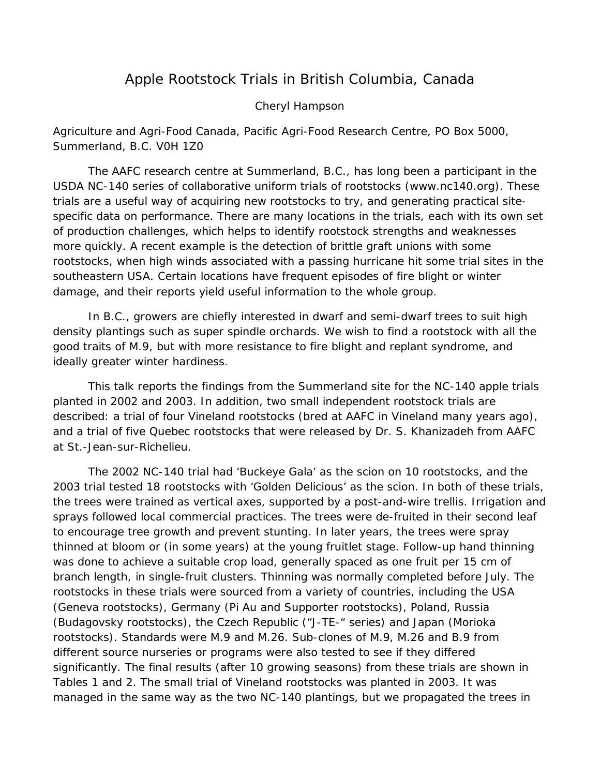# Apple Rootstock Trials in British Columbia, Canada

#### Cheryl Hampson

## *Agriculture and Agri-Food Canada, Pacific Agri-Food Research Centre, PO Box 5000, Summerland, B.C. V0H 1Z0*

The AAFC research centre at Summerland, B.C., has long been a participant in the USDA NC-140 series of collaborative uniform trials of rootstocks (www.nc140.org). These trials are a useful way of acquiring new rootstocks to try, and generating practical sitespecific data on performance. There are many locations in the trials, each with its own set of production challenges, which helps to identify rootstock strengths and weaknesses more quickly. A recent example is the detection of brittle graft unions with some rootstocks, when high winds associated with a passing hurricane hit some trial sites in the southeastern USA. Certain locations have frequent episodes of fire blight or winter damage, and their reports yield useful information to the whole group.

In B.C., growers are chiefly interested in dwarf and semi-dwarf trees to suit high density plantings such as super spindle orchards. We wish to find a rootstock with all the good traits of M.9, but with more resistance to fire blight and replant syndrome, and ideally greater winter hardiness.

This talk reports the findings from the Summerland site for the NC-140 apple trials planted in 2002 and 2003. In addition, two small independent rootstock trials are described: a trial of four Vineland rootstocks (bred at AAFC in Vineland many years ago), and a trial of five Quebec rootstocks that were released by Dr. S. Khanizadeh from AAFC at St.-Jean-sur-Richelieu.

The 2002 NC-140 trial had 'Buckeye Gala' as the scion on 10 rootstocks, and the 2003 trial tested 18 rootstocks with 'Golden Delicious' as the scion. In both of these trials, the trees were trained as vertical axes, supported by a post-and-wire trellis. Irrigation and sprays followed local commercial practices. The trees were de-fruited in their second leaf to encourage tree growth and prevent stunting. In later years, the trees were spray thinned at bloom or (in some years) at the young fruitlet stage. Follow-up hand thinning was done to achieve a suitable crop load, generally spaced as one fruit per 15 cm of branch length, in single-fruit clusters. Thinning was normally completed before July. The rootstocks in these trials were sourced from a variety of countries, including the USA (Geneva rootstocks), Germany (Pi Au and Supporter rootstocks), Poland, Russia (Budagovsky rootstocks), the Czech Republic ("J-TE-" series) and Japan (Morioka rootstocks). Standards were M.9 and M.26. Sub-clones of M.9, M.26 and B.9 from different source nurseries or programs were also tested to see if they differed significantly. The final results (after 10 growing seasons) from these trials are shown in Tables 1 and 2. The small trial of Vineland rootstocks was planted in 2003. It was managed in the same way as the two NC-140 plantings, but we propagated the trees in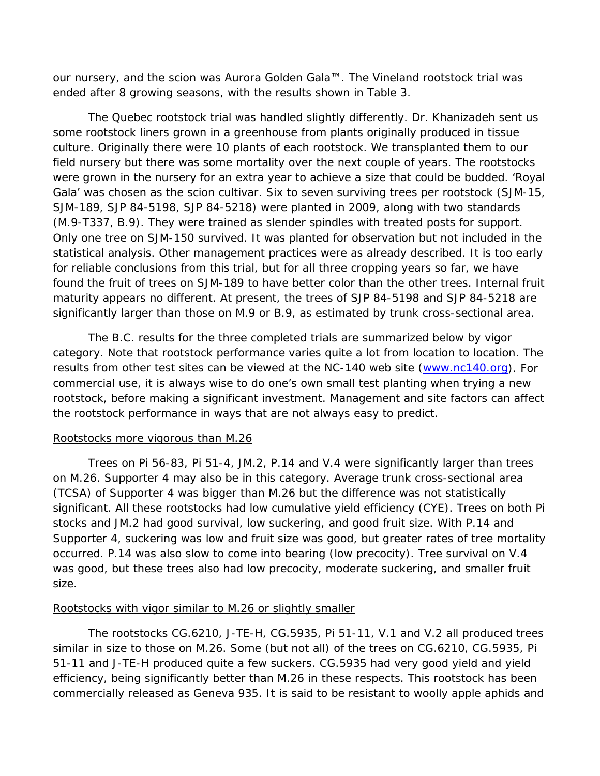our nursery, and the scion was Aurora Golden Gala™. The Vineland rootstock trial was ended after 8 growing seasons, with the results shown in Table 3.

The Quebec rootstock trial was handled slightly differently. Dr. Khanizadeh sent us some rootstock liners grown in a greenhouse from plants originally produced in tissue culture. Originally there were 10 plants of each rootstock. We transplanted them to our field nursery but there was some mortality over the next couple of years. The rootstocks were grown in the nursery for an extra year to achieve a size that could be budded. 'Royal Gala' was chosen as the scion cultivar. Six to seven surviving trees per rootstock (SJM-15, SJM-189, SJP 84-5198, SJP 84-5218) were planted in 2009, along with two standards (M.9-T337, B.9). They were trained as slender spindles with treated posts for support. Only one tree on SJM-150 survived. It was planted for observation but not included in the statistical analysis. Other management practices were as already described. It is too early for reliable conclusions from this trial, but for all three cropping years so far, we have found the fruit of trees on SJM-189 to have better color than the other trees. Internal fruit maturity appears no different. At present, the trees of SJP 84-5198 and SJP 84-5218 are significantly larger than those on M.9 or B.9, as estimated by trunk cross-sectional area.

The B.C. results for the three completed trials are summarized below by vigor category. Note that rootstock performance varies quite a lot from location to location. The results from other test sites can be viewed at the NC-140 web site [\(www.nc140.org\)](http://www.nc140.org/). For commercial use, it is always wise to do one's own small test planting when trying a new rootstock, before making a significant investment. Management and site factors can affect the rootstock performance in ways that are not always easy to predict.

### Rootstocks more vigorous than M.26

Trees on Pi 56-83, Pi 51-4, JM.2, P.14 and V.4 were significantly larger than trees on M.26. Supporter 4 may also be in this category. Average trunk cross-sectional area (TCSA) of Supporter 4 was bigger than M.26 but the difference was not statistically significant. All these rootstocks had low cumulative yield efficiency (CYE). Trees on both Pi stocks and JM.2 had good survival, low suckering, and good fruit size. With P.14 and Supporter 4, suckering was low and fruit size was good, but greater rates of tree mortality occurred. P.14 was also slow to come into bearing (low precocity). Tree survival on V.4 was good, but these trees also had low precocity, moderate suckering, and smaller fruit size.

# Rootstocks with vigor similar to M.26 or slightly smaller

The rootstocks CG.6210, J-TE-H, CG.5935, Pi 51-11, V.1 and V.2 all produced trees similar in size to those on M.26. Some (but not all) of the trees on CG.6210, CG.5935, Pi 51-11 and J-TE-H produced quite a few suckers. CG.5935 had very good yield and yield efficiency, being significantly better than M.26 in these respects. This rootstock has been commercially released as Geneva 935. It is said to be resistant to woolly apple aphids and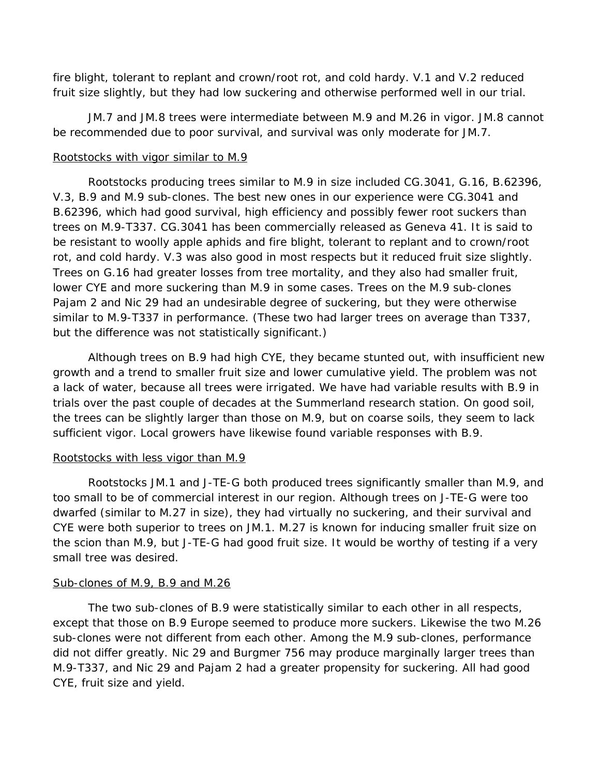fire blight, tolerant to replant and crown/root rot, and cold hardy. V.1 and V.2 reduced fruit size slightly, but they had low suckering and otherwise performed well in our trial.

JM.7 and JM.8 trees were intermediate between M.9 and M.26 in vigor. JM.8 cannot be recommended due to poor survival, and survival was only moderate for JM.7.

### Rootstocks with vigor similar to M.9

Rootstocks producing trees similar to M.9 in size included CG.3041, G.16, B.62396, V.3, B.9 and M.9 sub-clones. The best new ones in our experience were CG.3041 and B.62396, which had good survival, high efficiency and possibly fewer root suckers than trees on M.9-T337. CG.3041 has been commercially released as Geneva 41. It is said to be resistant to woolly apple aphids and fire blight, tolerant to replant and to crown/root rot, and cold hardy. V.3 was also good in most respects but it reduced fruit size slightly. Trees on G.16 had greater losses from tree mortality, and they also had smaller fruit, lower CYE and more suckering than M.9 in some cases. Trees on the M.9 sub-clones Pajam 2 and Nic 29 had an undesirable degree of suckering, but they were otherwise similar to M.9-T337 in performance. (These two had larger trees on average than T337, but the difference was not statistically significant.)

Although trees on B.9 had high CYE, they became stunted out, with insufficient new growth and a trend to smaller fruit size and lower cumulative yield. The problem was not a lack of water, because all trees were irrigated. We have had variable results with B.9 in trials over the past couple of decades at the Summerland research station. On good soil, the trees can be slightly larger than those on M.9, but on coarse soils, they seem to lack sufficient vigor. Local growers have likewise found variable responses with B.9.

### Rootstocks with less vigor than M.9

Rootstocks JM.1 and J-TE-G both produced trees significantly smaller than M.9, and too small to be of commercial interest in our region. Although trees on J-TE-G were too dwarfed (similar to M.27 in size), they had virtually no suckering, and their survival and CYE were both superior to trees on JM.1. M.27 is known for inducing smaller fruit size on the scion than M.9, but J-TE-G had good fruit size. It would be worthy of testing if a very small tree was desired.

### Sub-clones of M.9, B.9 and M.26

The two sub-clones of B.9 were statistically similar to each other in all respects, except that those on B.9 Europe seemed to produce more suckers. Likewise the two M.26 sub-clones were not different from each other. Among the M.9 sub-clones, performance did not differ greatly. Nic 29 and Burgmer 756 may produce marginally larger trees than M.9-T337, and Nic 29 and Pajam 2 had a greater propensity for suckering. All had good CYE, fruit size and yield.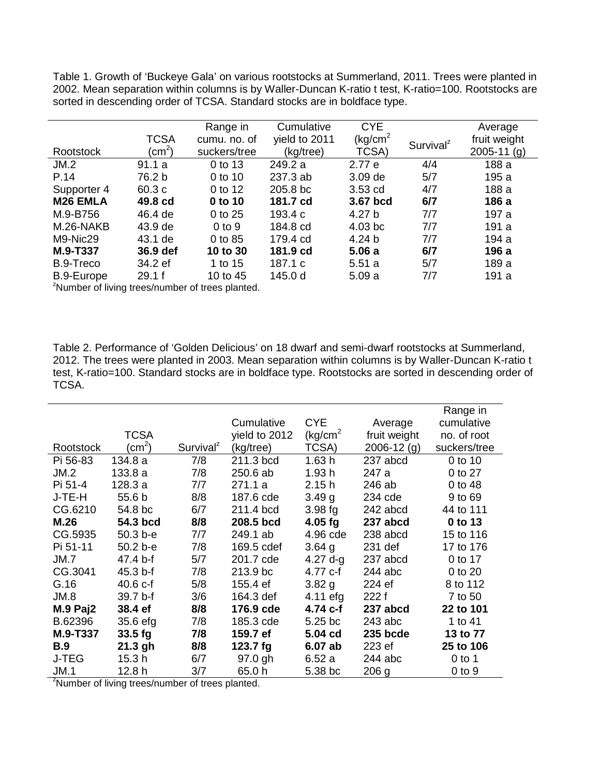Table 1. Growth of 'Buckeye Gala' on various rootstocks at Summerland, 2011. Trees were planted in 2002. Mean separation within columns is by Waller-Duncan K-ratio t test, K-ratio=100. Rootstocks are sorted in descending order of TCSA. Standard stocks are in boldface type.

|                                                    |              | Range in     | Cumulative    | <b>CYE</b>            |                       | Average       |  |
|----------------------------------------------------|--------------|--------------|---------------|-----------------------|-----------------------|---------------|--|
|                                                    | <b>TCSA</b>  | cumu. no. of | yield to 2011 | (kg/cm <sup>2</sup> ) | Survival <sup>z</sup> | fruit weight  |  |
| Rootstock                                          | $\rm (cm^2)$ | suckers/tree | (kg/tree)     | TCSA)                 |                       | $2005-11$ (g) |  |
| JM.2                                               | 91.1a        | 0 to 13      | 249.2 a       | 2.77 e                | 4/4                   | 188 a         |  |
| P.14                                               | 76.2 b       | 0 to 10      | 237.3 ab      | 3.09 de               | 5/7                   | 195 a         |  |
| Supporter 4                                        | 60.3c        | 0 to 12      | 205.8 bc      | $3.53$ cd             | 4/7                   | 188 a         |  |
| M <sub>26</sub> EMLA                               | 49.8 cd      | 0 to 10      | 181.7 cd      | 3.67 bcd              | 6/7                   | 186 a         |  |
| M.9-B756                                           | 46.4 de      | 0 to 25      | 193.4 c       | 4.27 b                | 7/7                   | 197 a         |  |
| M.26-NAKB                                          | 43.9 de      | $0$ to $9$   | 184.8 cd      | $4.03$ bc             | 7/7                   | 191 a         |  |
| M9-Nic29                                           | 43.1 de      | 0 to 85      | 179.4 cd      | 4.24 b                | 7/7                   | 194 a         |  |
| M.9-T337                                           | 36.9 def     | 10 to 30     | 181.9 cd      | 5.06a                 | 6/7                   | 196 a         |  |
| B.9-Treco                                          | 34.2 ef      | 1 to 15      | 187.1 c       | 5.51a                 | 5/7                   | 189 a         |  |
| B.9-Europe                                         | 29.1 f       | 10 to 45     | 145.0 d       | 5.09a                 | 7/7                   | 191 a         |  |
| $2$ Numbar of living troop/numbar of troop planted |              |              |               |                       |                       |               |  |

Number of living trees/number of trees planted.

Table 2. Performance of 'Golden Delicious' on 18 dwarf and semi-dwarf rootstocks at Summerland, 2012. The trees were planted in 2003. Mean separation within columns is by Waller-Duncan K-ratio t test, K-ratio=100. Standard stocks are in boldface type. Rootstocks are sorted in descending order of TCSA.

|                                                              |                   |                       |               |                                |                  | Range in     |  |
|--------------------------------------------------------------|-------------------|-----------------------|---------------|--------------------------------|------------------|--------------|--|
|                                                              |                   |                       | Cumulative    | <b>CYE</b>                     | Average          | cumulative   |  |
|                                                              | <b>TCSA</b>       |                       | yield to 2012 | $\left(\frac{kg}{cm^2}\right)$ | fruit weight     | no. of root  |  |
| Rootstock                                                    | $\rm (cm^2)$      | Survival <sup>z</sup> | (kg/tree)     | TCSA)                          | $2006 - 12$ (g)  | suckers/tree |  |
| Pi 56-83                                                     | 134.8 a           | 7/8                   | 211.3 bcd     | 1.63h                          | 237 abcd         | 0 to 10      |  |
| JM.2                                                         | 133.8a            | 7/8                   | 250.6 ab      | 1.93h                          | 247 a            | 0 to 27      |  |
| Pi 51-4                                                      | 128.3a            | 7/7                   | 271.1a        | 2.15h                          | 246 ab           | 0 to 48      |  |
| J-TE-H                                                       | 55.6 b            | 8/8                   | 187.6 cde     | 3.49 <sub>q</sub>              | 234 cde          | 9 to 69      |  |
| CG.6210                                                      | 54.8 bc           | 6/7                   | 211.4 bcd     | $3.98$ fg                      | 242 abcd         | 44 to 111    |  |
| M.26                                                         | 54.3 bcd          | 8/8                   | 208.5 bcd     | $4.05$ fg                      | 237 abcd         | 0 to 13      |  |
| CG.5935                                                      | $50.3 b - e$      | 7/7                   | 249.1 ab      | 4.96 cde                       | 238 abcd         | 15 to 116    |  |
| Pi 51-11                                                     | 50.2 b-e          | 7/8                   | 169.5 cdef    | $3.64$ g                       | 231 def          | 17 to 176    |  |
| JM.7                                                         | 47.4 b-f          | 5/7                   | 201.7 cde     | 4.27 $d-g$                     | 237 abcd         | 0 to 17      |  |
| CG.3041                                                      | 45.3 b-f          | 7/8                   | 213.9 bc      | 4.77 c-f                       | $244$ abc        | 0 to 20      |  |
| G.16                                                         | $40.6 c-f$        | 5/8                   | 155.4 ef      | 3.82 g                         | 224 ef           | 8 to 112     |  |
| JM.8                                                         | 39.7 b-f          | 3/6                   | 164.3 def     | $4.11$ efg                     | 222 f            | 7 to 50      |  |
| $M.9$ Paj2                                                   | 38.4 ef           | 8/8                   | 176.9 cde     | 4.74 c-f                       | 237 abcd         | 22 to 101    |  |
| B.62396                                                      | 35.6 efg          | 7/8                   | 185.3 cde     | 5.25 bc                        | $243$ abc        | 1 to 41      |  |
| M.9-T337                                                     | $33.5$ fg         | 7/8                   | 159.7 ef      | 5.04 cd                        | 235 bcde         | 13 to 77     |  |
| <b>B.9</b>                                                   | $21.3$ gh         | 8/8                   | 123.7 $fg$    | 6.07 ab                        | 223 ef           | 25 to 106    |  |
| J-TEG                                                        | 15.3 <sub>h</sub> | 6/7                   | 97.0 gh       | 6.52a                          | $244$ abc        | $0$ to 1     |  |
| JM.1                                                         | 12.8 <sub>h</sub> | 3/7                   | 65.0h         | 5.38 bc                        | 206 <sub>g</sub> | $0$ to $9$   |  |
| <sup>2</sup> Number of living trees/number of trees planted. |                   |                       |               |                                |                  |              |  |